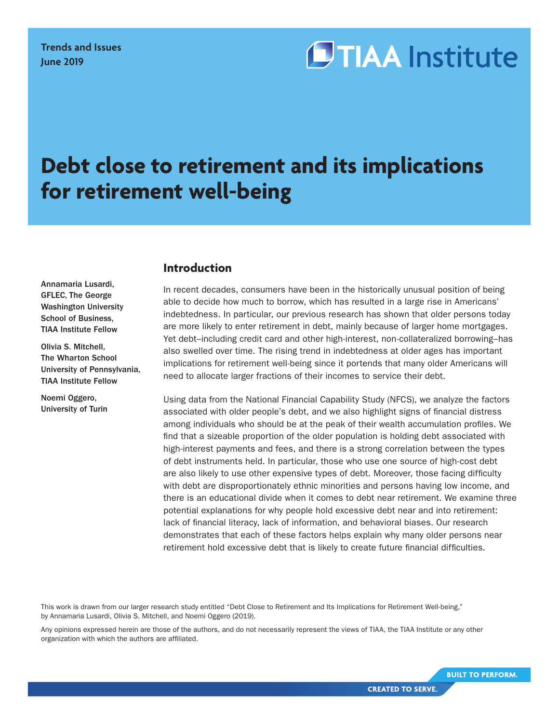# **OTIAA** Institute

## **Debt close to retirement and its implications for retirement well-being**

## **Introduction**

Annamaria Lusardi, GFLEC, The George Washington University School of Business, TIAA Institute Fellow

Olivia S. Mitchell, The Wharton School University of Pennsylvania, TIAA Institute Fellow

Noemi Oggero, University of Turin

In recent decades, consumers have been in the historically unusual position of being able to decide how much to borrow, which has resulted in a large rise in Americans' indebtedness. In particular, our previous research has shown that older persons today are more likely to enter retirement in debt, mainly because of larger home mortgages. Yet debt–including credit card and other high-interest, non-collateralized borrowing–has also swelled over time. The rising trend in indebtedness at older ages has important implications for retirement well-being since it portends that many older Americans will need to allocate larger fractions of their incomes to service their debt.

Using data from the National Financial Capability Study (NFCS), we analyze the factors associated with older people's debt, and we also highlight signs of financial distress among individuals who should be at the peak of their wealth accumulation profiles. We find that a sizeable proportion of the older population is holding debt associated with high-interest payments and fees, and there is a strong correlation between the types of debt instruments held. In particular, those who use one source of high-cost debt are also likely to use other expensive types of debt. Moreover, those facing difficulty with debt are disproportionately ethnic minorities and persons having low income, and there is an educational divide when it comes to debt near retirement. We examine three potential explanations for why people hold excessive debt near and into retirement: lack of financial literacy, lack of information, and behavioral biases. Our research demonstrates that each of these factors helps explain why many older persons near retirement hold excessive debt that is likely to create future financial difficulties.

This work is drawn from our larger research study entitled "Debt Close to Retirement and Its Implications for Retirement Well-being," by Annamaria Lusardi, Olivia S. Mitchell, and Noemi Oggero (2019).

Any opinions expressed herein are those of the authors, and do not necessarily represent the views of TIAA, the TIAA Institute or any other organization with which the authors are affiliated.

**BUILT TO PERFORM.**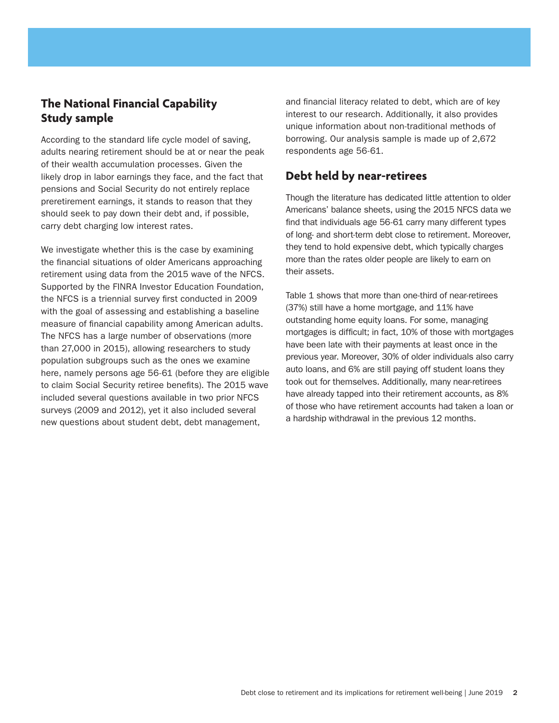## **The National Financial Capability Study sample**

According to the standard life cycle model of saving, adults nearing retirement should be at or near the peak of their wealth accumulation processes. Given the likely drop in labor earnings they face, and the fact that pensions and Social Security do not entirely replace preretirement earnings, it stands to reason that they should seek to pay down their debt and, if possible, carry debt charging low interest rates.

We investigate whether this is the case by examining the financial situations of older Americans approaching retirement using data from the 2015 wave of the NFCS. Supported by the FINRA Investor Education Foundation, the NFCS is a triennial survey first conducted in 2009 with the goal of assessing and establishing a baseline measure of financial capability among American adults. The NFCS has a large number of observations (more than 27,000 in 2015), allowing researchers to study population subgroups such as the ones we examine here, namely persons age 56-61 (before they are eligible to claim Social Security retiree benefits). The 2015 wave included several questions available in two prior NFCS surveys (2009 and 2012), yet it also included several new questions about student debt, debt management,

and financial literacy related to debt, which are of key interest to our research. Additionally, it also provides unique information about non-traditional methods of borrowing. Our analysis sample is made up of 2,672 respondents age 56-61.

## **Debt held by near-retirees**

Though the literature has dedicated little attention to older Americans' balance sheets, using the 2015 NFCS data we find that individuals age 56-61 carry many different types of long- and short-term debt close to retirement. Moreover, they tend to hold expensive debt, which typically charges more than the rates older people are likely to earn on their assets.

Table 1 shows that more than one-third of near-retirees (37%) still have a home mortgage, and 11% have outstanding home equity loans. For some, managing mortgages is difficult; in fact, 10% of those with mortgages have been late with their payments at least once in the previous year. Moreover, 30% of older individuals also carry auto loans, and 6% are still paying off student loans they took out for themselves. Additionally, many near-retirees have already tapped into their retirement accounts, as 8% of those who have retirement accounts had taken a loan or a hardship withdrawal in the previous 12 months.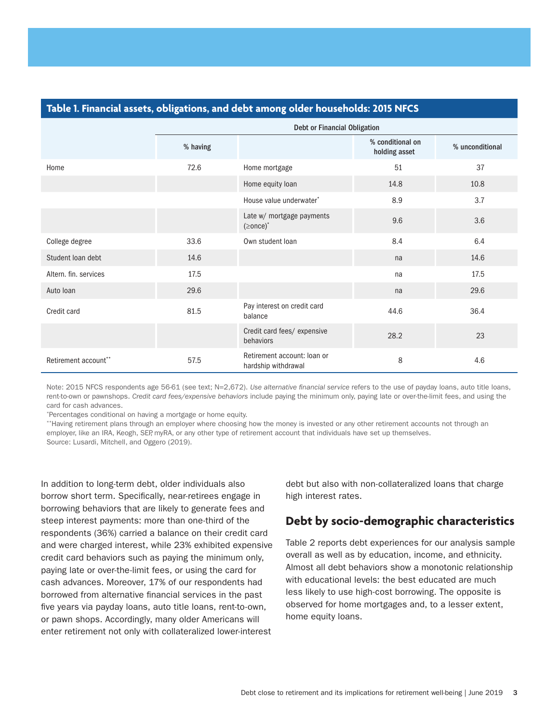## **Table 1. Financial assets, obligations, and debt among older households: 2015 NFCS**

|                       |          | Debt or Financial Obligation                       |                                   |                 |  |  |  |
|-----------------------|----------|----------------------------------------------------|-----------------------------------|-----------------|--|--|--|
|                       | % having |                                                    | % conditional on<br>holding asset | % unconditional |  |  |  |
| Home                  | 72.6     | Home mortgage                                      | 51                                | 37              |  |  |  |
|                       |          | Home equity loan                                   | 14.8                              | 10.8            |  |  |  |
|                       |          | House value underwater*                            | 8.9                               | 3.7             |  |  |  |
|                       |          | Late w/ mortgage payments<br>$( \geq$ once $)$ *   | 9.6                               | 3.6             |  |  |  |
| College degree        | 33.6     | Own student loan                                   | 8.4                               | 6.4             |  |  |  |
| Student loan debt     | 14.6     |                                                    | na                                | 14.6            |  |  |  |
| Altern, fin. services | 17.5     |                                                    | na                                | 17.5            |  |  |  |
| Auto Ioan             | 29.6     |                                                    | na                                | 29.6            |  |  |  |
| Credit card           | 81.5     | Pay interest on credit card<br>balance             | 44.6                              | 36.4            |  |  |  |
|                       |          | Credit card fees/ expensive<br>behaviors           | 28.2                              | 23              |  |  |  |
| Retirement account**  | 57.5     | Retirement account: Ioan or<br>hardship withdrawal | 8                                 | 4.6             |  |  |  |

Note: 2015 NFCS respondents age 56-61 (see text; N=2,672). *Use alternative financial service* refers to the use of payday loans, auto title loans, rent-to-own or pawnshops. *Credit card fees/expensive behaviors* include paying the minimum only, paying late or over-the-limit fees, and using the card for cash advances.

\*Percentages conditional on having a mortgage or home equity.

\*\*Having retirement plans through an employer where choosing how the money is invested or any other retirement accounts not through an employer, like an IRA, Keogh, SEP, myRA, or any other type of retirement account that individuals have set up themselves. Source: Lusardi, Mitchell, and Oggero (2019).

In addition to long-term debt, older individuals also borrow short term. Specifically, near-retirees engage in borrowing behaviors that are likely to generate fees and steep interest payments: more than one-third of the respondents (36%) carried a balance on their credit card and were charged interest, while 23% exhibited expensive credit card behaviors such as paying the minimum only, paying late or over-the-limit fees, or using the card for cash advances. Moreover, 17% of our respondents had borrowed from alternative financial services in the past five years via payday loans, auto title loans, rent-to-own, or pawn shops. Accordingly, many older Americans will enter retirement not only with collateralized lower-interest

debt but also with non-collateralized loans that charge high interest rates.

## **Debt by socio-demographic characteristics**

Table 2 reports debt experiences for our analysis sample overall as well as by education, income, and ethnicity. Almost all debt behaviors show a monotonic relationship with educational levels: the best educated are much less likely to use high-cost borrowing. The opposite is observed for home mortgages and, to a lesser extent, home equity loans.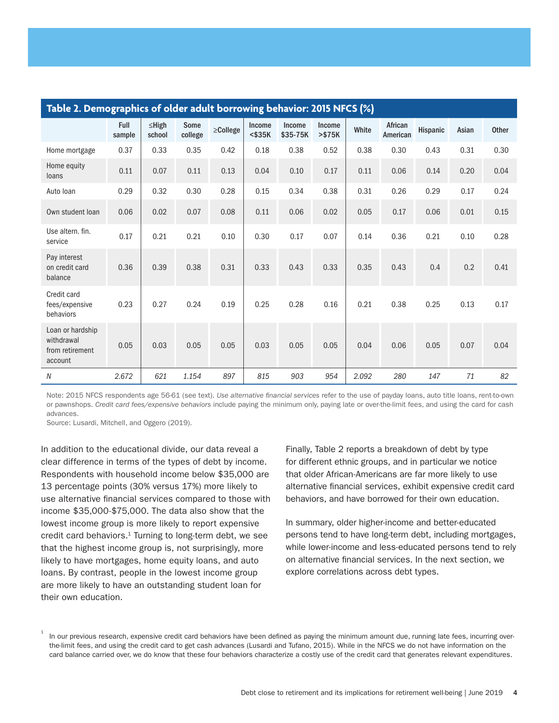| Table 2. Demographics of older adult borrowing behavior: 2015 NFCS (%) |                |                       |                 |          |                               |                    |                    |       |                     |          |          |              |
|------------------------------------------------------------------------|----------------|-----------------------|-----------------|----------|-------------------------------|--------------------|--------------------|-------|---------------------|----------|----------|--------------|
|                                                                        | Full<br>sample | $\leq$ High<br>school | Some<br>college | ≥College | <b>Income</b><br>$<$ \$35 $K$ | Income<br>\$35-75K | Income<br>$> $75K$ | White | African<br>American | Hispanic | Asian    | <b>Other</b> |
| Home mortgage                                                          | 0.37           | 0.33                  | 0.35            | 0.42     | 0.18                          | 0.38               | 0.52               | 0.38  | 0.30                | 0.43     | 0.31     | 0.30         |
| Home equity<br>loans                                                   | 0.11           | 0.07                  | 0.11            | 0.13     | 0.04                          | 0.10               | 0.17               | 0.11  | 0.06                | 0.14     | 0.20     | 0.04         |
| Auto Ioan                                                              | 0.29           | 0.32                  | 0.30            | 0.28     | 0.15                          | 0.34               | 0.38               | 0.31  | 0.26                | 0.29     | 0.17     | 0.24         |
| Own student loan                                                       | 0.06           | 0.02                  | 0.07            | 0.08     | 0.11                          | 0.06               | 0.02               | 0.05  | 0.17                | 0.06     | 0.01     | 0.15         |
| Use altern, fin.<br>service                                            | 0.17           | 0.21                  | 0.21            | 0.10     | 0.30                          | 0.17               | 0.07               | 0.14  | 0.36                | 0.21     | $0.10\,$ | 0.28         |
| Pay interest<br>on credit card<br>balance                              | 0.36           | 0.39                  | 0.38            | 0.31     | 0.33                          | 0.43               | 0.33               | 0.35  | 0.43                | 0.4      | 0.2      | 0.41         |
| Credit card<br>fees/expensive<br>behaviors                             | 0.23           | 0.27                  | 0.24            | 0.19     | 0.25                          | 0.28               | 0.16               | 0.21  | 0.38                | 0.25     | 0.13     | 0.17         |
| Loan or hardship<br>withdrawal<br>from retirement<br>account           | 0.05           | 0.03                  | 0.05            | 0.05     | 0.03                          | 0.05               | 0.05               | 0.04  | 0.06                | 0.05     | 0.07     | 0.04         |
| N                                                                      | 2.672          | 621                   | 1.154           | 897      | 815                           | 903                | 954                | 2.092 | 280                 | 147      | 71       | 82           |

Note: 2015 NFCS respondents age 56-61 (see text). *Use alternative financial services* refer to the use of payday loans, auto title loans, rent-to-own or pawnshops. *Credit card fees/expensive behaviors* include paying the minimum only, paying late or over-the-limit fees, and using the card for cash advances.

Source: Lusardi, Mitchell, and Oggero (2019).

In addition to the educational divide, our data reveal a clear difference in terms of the types of debt by income. Respondents with household income below \$35,000 are 13 percentage points (30% versus 17%) more likely to use alternative financial services compared to those with income \$35,000-\$75,000. The data also show that the lowest income group is more likely to report expensive credit card behaviors. $1$  Turning to long-term debt, we see that the highest income group is, not surprisingly, more likely to have mortgages, home equity loans, and auto loans. By contrast, people in the lowest income group are more likely to have an outstanding student loan for their own education.

Finally, Table 2 reports a breakdown of debt by type for different ethnic groups, and in particular we notice that older African-Americans are far more likely to use alternative financial services, exhibit expensive credit card behaviors, and have borrowed for their own education.

In summary, older higher-income and better-educated persons tend to have long-term debt, including mortgages, while lower-income and less-educated persons tend to rely on alternative financial services. In the next section, we explore correlations across debt types.

<sup>1</sup> In our previous research, expensive credit card behaviors have been defined as paying the minimum amount due, running late fees, incurring overthe-limit fees, and using the credit card to get cash advances (Lusardi and Tufano, 2015). While in the NFCS we do not have information on the card balance carried over, we do know that these four behaviors characterize a costly use of the credit card that generates relevant expenditures.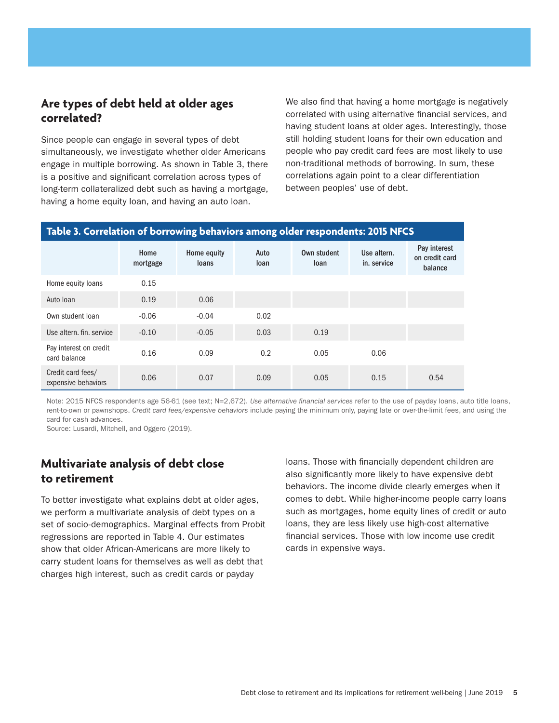## **Are types of debt held at older ages correlated?**

Since people can engage in several types of debt simultaneously, we investigate whether older Americans engage in multiple borrowing. As shown in Table 3, there is a positive and significant correlation across types of long-term collateralized debt such as having a mortgage, having a home equity loan, and having an auto loan.

We also find that having a home mortgage is negatively correlated with using alternative financial services, and having student loans at older ages. Interestingly, those still holding student loans for their own education and people who pay credit card fees are most likely to use non-traditional methods of borrowing. In sum, these correlations again point to a clear differentiation between peoples' use of debt.

#### **Table 3. Correlation of borrowing behaviors among older respondents: 2015 NFCS** Home mortgage Home equity loans Auto loan Own student loan Use altern. in. service Pay interest on credit card balance Home equity loans 0.15 Auto loan 0.19 0.06 Own student loan -0.06 -0.04 0.02 Use altern. fin. service  $-0.10$   $-0.05$  0.03 0.19 Pay interest on credit card balance 0.16 0.09 0.2 0.05 0.06 0.16 Credit card fees/ expensive behaviors 0.06 0.07 0.09 0.05 0.15 0.54

Note: 2015 NFCS respondents age 56-61 (see text; N=2,672). *Use alternative financial services* refer to the use of payday loans, auto title loans, rent-to-own or pawnshops. *Credit card fees/expensive behaviors* include paying the minimum only, paying late or over-the-limit fees, and using the card for cash advances.

Source: Lusardi, Mitchell, and Oggero (2019).

## **Multivariate analysis of debt close to retirement**

To better investigate what explains debt at older ages, we perform a multivariate analysis of debt types on a set of socio-demographics. Marginal effects from Probit regressions are reported in Table 4. Our estimates show that older African-Americans are more likely to carry student loans for themselves as well as debt that charges high interest, such as credit cards or payday

loans. Those with financially dependent children are also significantly more likely to have expensive debt behaviors. The income divide clearly emerges when it comes to debt. While higher-income people carry loans such as mortgages, home equity lines of credit or auto loans, they are less likely use high-cost alternative financial services. Those with low income use credit cards in expensive ways.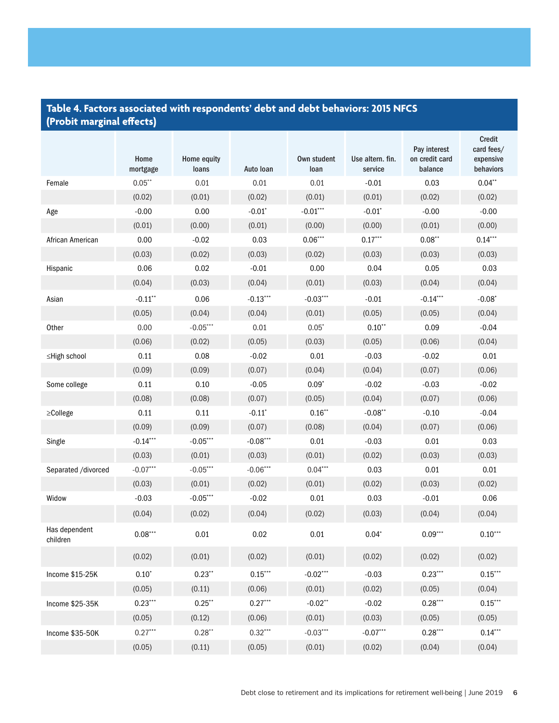## **Table 4. Factors associated with respondents' debt and debt behaviors: 2015 NFCS (Probit marginal effects)**

|                           | Home<br>mortgage | Home equity<br>loans | Auto Ioan            | Own student<br>loan | Use altern. fin.<br>service | Pay interest<br>on credit card<br>balance | <b>Credit</b><br>card fees/<br>expensive<br>behaviors |
|---------------------------|------------------|----------------------|----------------------|---------------------|-----------------------------|-------------------------------------------|-------------------------------------------------------|
| Female                    | $0.05***$        | 0.01                 | 0.01                 | 0.01                | $-0.01$                     | 0.03                                      | $0.04**$                                              |
|                           | (0.02)           | (0.01)               | (0.02)               | (0.01)              | (0.01)                      | (0.02)                                    | (0.02)                                                |
| Age                       | $-0.00$          | 0.00                 | $-0.01$ <sup>*</sup> | $-0.01***$          | $-0.01$ <sup>*</sup>        | $-0.00$                                   | $-0.00$                                               |
|                           | (0.01)           | (0.00)               | (0.01)               | (0.00)              | (0.00)                      | (0.01)                                    | (0.00)                                                |
| African American          | 0.00             | $-0.02$              | 0.03                 | $0.06***$           | $0.17***$                   | $0.08**$                                  | $0.14***$                                             |
|                           | (0.03)           | (0.02)               | (0.03)               | (0.02)              | (0.03)                      | (0.03)                                    | (0.03)                                                |
| Hispanic                  | 0.06             | 0.02                 | $-0.01$              | 0.00                | 0.04                        | 0.05                                      | 0.03                                                  |
|                           | (0.04)           | (0.03)               | (0.04)               | (0.01)              | (0.03)                      | (0.04)                                    | (0.04)                                                |
| Asian                     | $-0.11$ **       | 0.06                 | $-0.13***$           | $-0.03***$          | $-0.01$                     | $-0.14***$                                | $-0.08*$                                              |
|                           | (0.05)           | (0.04)               | (0.04)               | (0.01)              | (0.05)                      | (0.05)                                    | (0.04)                                                |
| Other                     | 0.00             | $-0.05***$           | 0.01                 | $0.05*$             | $0.10**$                    | 0.09                                      | $-0.04$                                               |
|                           | (0.06)           | (0.02)               | (0.05)               | (0.03)              | (0.05)                      | (0.06)                                    | (0.04)                                                |
| ≤High school              | 0.11             | 0.08                 | $-0.02$              | 0.01                | $-0.03$                     | $-0.02$                                   | 0.01                                                  |
|                           | (0.09)           | (0.09)               | (0.07)               | (0.04)              | (0.04)                      | (0.07)                                    | (0.06)                                                |
| Some college              | 0.11             | 0.10                 | $-0.05$              | $0.09*$             | $-0.02$                     | $-0.03$                                   | $-0.02$                                               |
|                           | (0.08)           | (0.08)               | (0.07)               | (0.05)              | (0.04)                      | (0.07)                                    | (0.06)                                                |
| ≥College                  | 0.11             | 0.11                 | $-0.11$ <sup>*</sup> | $0.16***$           | $-0.08**$                   | $-0.10$                                   | $-0.04$                                               |
|                           | (0.09)           | (0.09)               | (0.07)               | (0.08)              | (0.04)                      | (0.07)                                    | (0.06)                                                |
| Single                    | $-0.14***$       | $-0.05***$           | $-0.08***$           | $0.01\,$            | $-0.03$                     | 0.01                                      | 0.03                                                  |
|                           | (0.03)           | (0.01)               | (0.03)               | (0.01)              | (0.02)                      | (0.03)                                    | (0.03)                                                |
| Separated /divorced       | $-0.07***$       | $-0.05***$           | $-0.06***$           | $0.04***$           | 0.03                        | 0.01                                      | 0.01                                                  |
|                           | (0.03)           | (0.01)               | (0.02)               | (0.01)              | (0.02)                      | (0.03)                                    | (0.02)                                                |
| Widow                     | $-0.03$          | $-0.05***$           | $-0.02$              | 0.01                | 0.03                        | $-0.01$                                   | 0.06                                                  |
|                           | (0.04)           | (0.02)               | (0.04)               | (0.02)              | (0.03)                      | (0.04)                                    | (0.04)                                                |
| Has dependent<br>children | $0.08***$        | 0.01                 | 0.02                 | $0.01\,$            | $0.04*$                     | $0.09***$                                 | $0.10***$                                             |
|                           | (0.02)           | (0.01)               | (0.02)               | (0.01)              | (0.02)                      | (0.02)                                    | (0.02)                                                |
| Income \$15-25K           | $0.10^\circ$     | $0.23**$             | $0.15***$            | $-0.02***$          | $-0.03$                     | $0.23***$                                 | $0.15***$                                             |
|                           | (0.05)           | (0.11)               | (0.06)               | (0.01)              | (0.02)                      | (0.05)                                    | (0.04)                                                |
| Income \$25-35K           | $0.23***$        | $0.25$ **            | $0.27***$            | $-0.02**$           | $-0.02$                     | $0.28***$                                 | $0.15***$                                             |
|                           | (0.05)           | (0.12)               | (0.06)               | (0.01)              | (0.03)                      | (0.05)                                    | (0.05)                                                |
| Income \$35-50K           | $0.27***$        | $0.28**$             | $0.32***$            | $-0.03***$          | $-0.07***$                  | $0.28***$                                 | $0.14***$                                             |
|                           | (0.05)           | (0.11)               | (0.05)               | (0.01)              | (0.02)                      | (0.04)                                    | (0.04)                                                |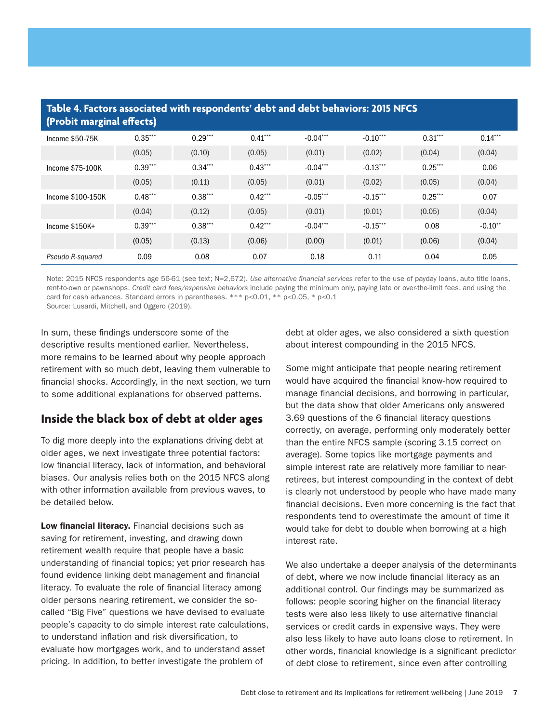| Table 4. Factors associated with respondents' debt and debt behaviors: 2015 NFCS<br>(Probit marginal effects) |           |           |           |            |            |           |           |  |
|---------------------------------------------------------------------------------------------------------------|-----------|-----------|-----------|------------|------------|-----------|-----------|--|
| Income \$50-75K                                                                                               | $0.35***$ | $0.29***$ | $0.41***$ | $-0.04***$ | $-0.10***$ | $0.31***$ | $0.14***$ |  |
|                                                                                                               | (0.05)    | (0.10)    | (0.05)    | (0.01)     | (0.02)     | (0.04)    | (0.04)    |  |
| Income \$75-100K                                                                                              | $0.39***$ | $0.34***$ | $0.43***$ | $-0.04***$ | $-0.13***$ | $0.25***$ | 0.06      |  |
|                                                                                                               | (0.05)    | (0.11)    | (0.05)    | (0.01)     | (0.02)     | (0.05)    | (0.04)    |  |
| Income \$100-150K                                                                                             | $0.48***$ | $0.38***$ | $0.42***$ | $-0.05***$ | $-0.15***$ | $0.25***$ | 0.07      |  |
|                                                                                                               | (0.04)    | (0.12)    | (0.05)    | (0.01)     | (0.01)     | (0.05)    | (0.04)    |  |
| Income \$150K+                                                                                                | $0.39***$ | $0.38***$ | $0.42***$ | $-0.04***$ | $-0.15***$ | 0.08      | $-0.10**$ |  |
|                                                                                                               | (0.05)    | (0.13)    | (0.06)    | (0.00)     | (0.01)     | (0.06)    | (0.04)    |  |
| Pseudo R-squared                                                                                              | 0.09      | 0.08      | 0.07      | 0.18       | 0.11       | 0.04      | 0.05      |  |

Note: 2015 NFCS respondents age 56-61 (see text; N=2,672). *Use alternative financial services* refer to the use of payday loans, auto title loans, rent-to-own or pawnshops. *Credit card fees/expensive behaviors* include paying the minimum only, paying late or over-the-limit fees, and using the card for cash advances. Standard errors in parentheses. \*\*\*  $p$  < 0.01, \*\*  $p$  < 0.05, \*  $p$  < 0.1

Source: Lusardi, Mitchell, and Oggero (2019).

In sum, these findings underscore some of the descriptive results mentioned earlier. Nevertheless, more remains to be learned about why people approach retirement with so much debt, leaving them vulnerable to financial shocks. Accordingly, in the next section, we turn to some additional explanations for observed patterns.

## **Inside the black box of debt at older ages**

To dig more deeply into the explanations driving debt at older ages, we next investigate three potential factors: low financial literacy, lack of information, and behavioral biases. Our analysis relies both on the 2015 NFCS along with other information available from previous waves, to be detailed below.

Low financial literacy. Financial decisions such as saving for retirement, investing, and drawing down retirement wealth require that people have a basic understanding of financial topics; yet prior research has found evidence linking debt management and financial literacy. To evaluate the role of financial literacy among older persons nearing retirement, we consider the socalled "Big Five" questions we have devised to evaluate people's capacity to do simple interest rate calculations, to understand inflation and risk diversification, to evaluate how mortgages work, and to understand asset pricing. In addition, to better investigate the problem of

debt at older ages, we also considered a sixth question about interest compounding in the 2015 NFCS.

Some might anticipate that people nearing retirement would have acquired the financial know-how required to manage financial decisions, and borrowing in particular, but the data show that older Americans only answered 3.69 questions of the 6 financial literacy questions correctly, on average, performing only moderately better than the entire NFCS sample (scoring 3.15 correct on average). Some topics like mortgage payments and simple interest rate are relatively more familiar to nearretirees, but interest compounding in the context of debt is clearly not understood by people who have made many financial decisions. Even more concerning is the fact that respondents tend to overestimate the amount of time it would take for debt to double when borrowing at a high interest rate.

We also undertake a deeper analysis of the determinants of debt, where we now include financial literacy as an additional control. Our findings may be summarized as follows: people scoring higher on the financial literacy tests were also less likely to use alternative financial services or credit cards in expensive ways. They were also less likely to have auto loans close to retirement. In other words, financial knowledge is a significant predictor of debt close to retirement, since even after controlling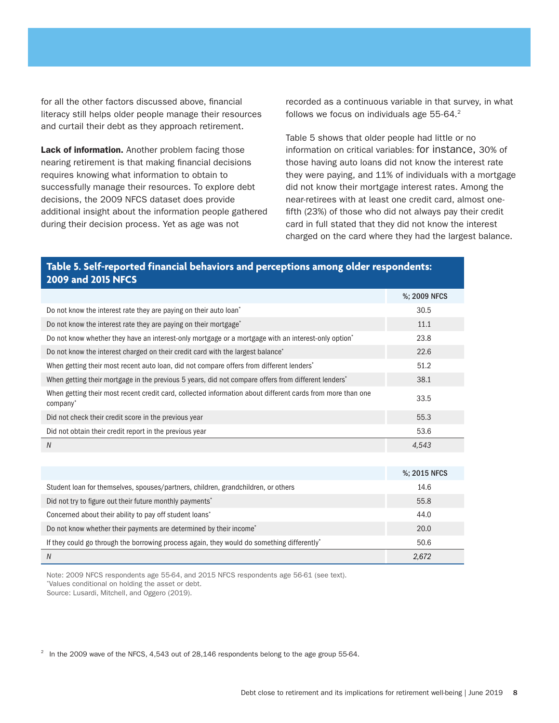for all the other factors discussed above, financial literacy still helps older people manage their resources and curtail their debt as they approach retirement.

Lack of information. Another problem facing those nearing retirement is that making financial decisions requires knowing what information to obtain to successfully manage their resources. To explore debt decisions, the 2009 NFCS dataset does provide additional insight about the information people gathered during their decision process. Yet as age was not

recorded as a continuous variable in that survey, in what follows we focus on individuals age 55-64.<sup>2</sup>

Table 5 shows that older people had little or no information on critical variables: for instance, 30% of those having auto loans did not know the interest rate they were paying, and 11% of individuals with a mortgage did not know their mortgage interest rates. Among the near-retirees with at least one credit card, almost onefifth (23%) of those who did not always pay their credit card in full stated that they did not know the interest charged on the card where they had the largest balance.

## **Table 5. Self-reported financial behaviors and perceptions among older respondents: 2009 and 2015 NFCS**

|                                                                                                                        | %; 2009 NFCS |
|------------------------------------------------------------------------------------------------------------------------|--------------|
| Do not know the interest rate they are paying on their auto loan <sup>*</sup>                                          | 30.5         |
| Do not know the interest rate they are paying on their mortgage <sup>*</sup>                                           | 11.1         |
| Do not know whether they have an interest-only mortgage or a mortgage with an interest-only option <sup>*</sup>        | 23.8         |
| Do not know the interest charged on their credit card with the largest balance <sup>*</sup>                            | 22.6         |
| When getting their most recent auto loan, did not compare offers from different lenders <sup>*</sup>                   | 51.2         |
| When getting their mortgage in the previous 5 years, did not compare offers from different lenders'                    | 38.1         |
| When getting their most recent credit card, collected information about different cards from more than one<br>company* | 33.5         |
| Did not check their credit score in the previous year                                                                  | 55.3         |
| Did not obtain their credit report in the previous year                                                                | 53.6         |
| N                                                                                                                      | 4.543        |

|                                                                                            | %; 2015 NFCS |
|--------------------------------------------------------------------------------------------|--------------|
| Student loan for themselves, spouses/partners, children, grandchildren, or others          | 14.6         |
| Did not try to figure out their future monthly payments <sup>*</sup>                       | 55.8         |
| Concerned about their ability to pay off student loans*                                    | 44.0         |
| Do not know whether their payments are determined by their income*                         | 20.0         |
| If they could go through the borrowing process again, they would do something differently* | 50.6         |
| N                                                                                          | 2.672        |

Note: 2009 NFCS respondents age 55-64, and 2015 NFCS respondents age 56-61 (see text). \*Values conditional on holding the asset or debt.

Source: Lusardi, Mitchell, and Oggero (2019).

 $2$  In the 2009 wave of the NFCS, 4,543 out of 28,146 respondents belong to the age group 55-64.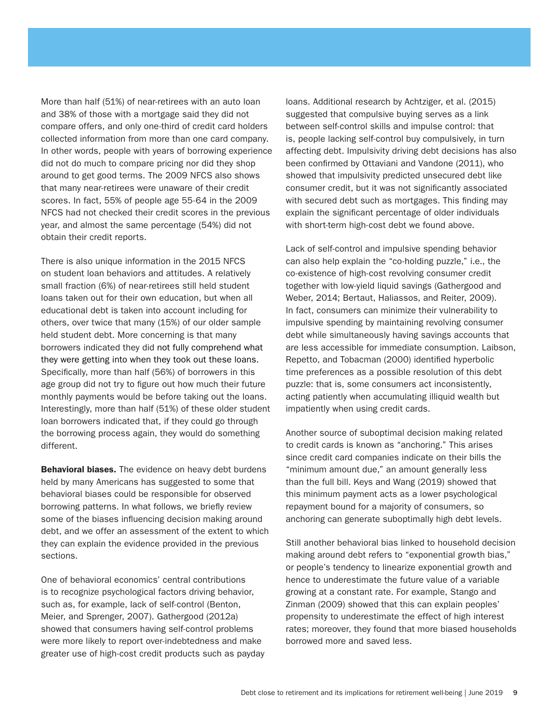More than half (51%) of near-retirees with an auto loan and 38% of those with a mortgage said they did not compare offers, and only one-third of credit card holders collected information from more than one card company. In other words, people with years of borrowing experience did not do much to compare pricing nor did they shop around to get good terms. The 2009 NFCS also shows that many near-retirees were unaware of their credit scores. In fact, 55% of people age 55-64 in the 2009 NFCS had not checked their credit scores in the previous year, and almost the same percentage (54%) did not obtain their credit reports.

There is also unique information in the 2015 NFCS on student loan behaviors and attitudes. A relatively small fraction (6%) of near-retirees still held student loans taken out for their own education, but when all educational debt is taken into account including for others, over twice that many (15%) of our older sample held student debt. More concerning is that many borrowers indicated they did not fully comprehend what they were getting into when they took out these loans. Specifically, more than half (56%) of borrowers in this age group did not try to figure out how much their future monthly payments would be before taking out the loans. Interestingly, more than half (51%) of these older student loan borrowers indicated that, if they could go through the borrowing process again, they would do something different.

**Behavioral biases.** The evidence on heavy debt burdens held by many Americans has suggested to some that behavioral biases could be responsible for observed borrowing patterns. In what follows, we briefly review some of the biases influencing decision making around debt, and we offer an assessment of the extent to which they can explain the evidence provided in the previous sections.

One of behavioral economics' central contributions is to recognize psychological factors driving behavior, such as, for example, lack of self-control (Benton, Meier, and Sprenger, 2007). Gathergood (2012a) showed that consumers having self-control problems were more likely to report over-indebtedness and make greater use of high-cost credit products such as payday loans. Additional research by Achtziger, et al. (2015) suggested that compulsive buying serves as a link between self-control skills and impulse control: that is, people lacking self-control buy compulsively, in turn affecting debt. Impulsivity driving debt decisions has also been confirmed by Ottaviani and Vandone (2011), who showed that impulsivity predicted unsecured debt like consumer credit, but it was not significantly associated with secured debt such as mortgages. This finding may explain the significant percentage of older individuals with short-term high-cost debt we found above.

Lack of self-control and impulsive spending behavior can also help explain the "co-holding puzzle," i.e., the co-existence of high-cost revolving consumer credit together with low-yield liquid savings (Gathergood and Weber, 2014; Bertaut, Haliassos, and Reiter, 2009). In fact, consumers can minimize their vulnerability to impulsive spending by maintaining revolving consumer debt while simultaneously having savings accounts that are less accessible for immediate consumption. Laibson, Repetto, and Tobacman (2000) identified hyperbolic time preferences as a possible resolution of this debt puzzle: that is, some consumers act inconsistently, acting patiently when accumulating illiquid wealth but impatiently when using credit cards.

Another source of suboptimal decision making related to credit cards is known as "anchoring." This arises since credit card companies indicate on their bills the "minimum amount due," an amount generally less than the full bill. Keys and Wang (2019) showed that this minimum payment acts as a lower psychological repayment bound for a majority of consumers, so anchoring can generate suboptimally high debt levels.

Still another behavioral bias linked to household decision making around debt refers to "exponential growth bias," or people's tendency to linearize exponential growth and hence to underestimate the future value of a variable growing at a constant rate. For example, Stango and Zinman (2009) showed that this can explain peoples' propensity to underestimate the effect of high interest rates; moreover, they found that more biased households borrowed more and saved less.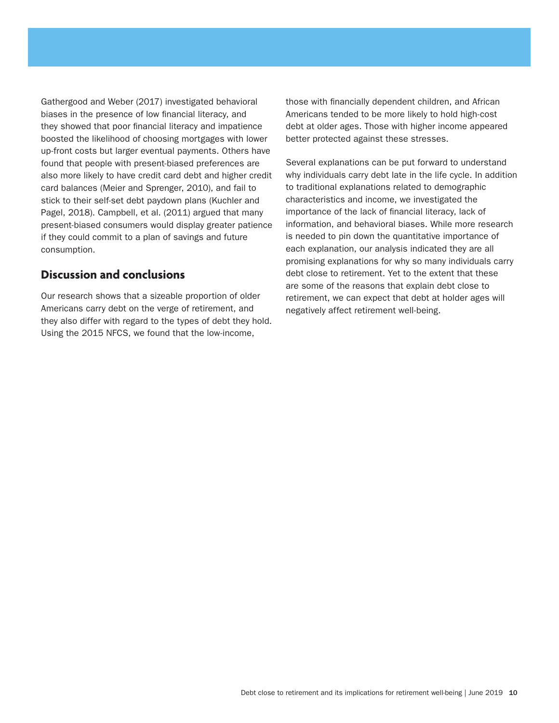Gathergood and Weber (2017) investigated behavioral biases in the presence of low financial literacy, and they showed that poor financial literacy and impatience boosted the likelihood of choosing mortgages with lower up-front costs but larger eventual payments. Others have found that people with present-biased preferences are also more likely to have credit card debt and higher credit card balances (Meier and Sprenger, 2010), and fail to stick to their self-set debt paydown plans (Kuchler and Pagel, 2018). Campbell, et al. (2011) argued that many present-biased consumers would display greater patience if they could commit to a plan of savings and future consumption.

## **Discussion and conclusions**

Our research shows that a sizeable proportion of older Americans carry debt on the verge of retirement, and they also differ with regard to the types of debt they hold. Using the 2015 NFCS, we found that the low-income,

those with financially dependent children, and African Americans tended to be more likely to hold high-cost debt at older ages. Those with higher income appeared better protected against these stresses.

Several explanations can be put forward to understand why individuals carry debt late in the life cycle. In addition to traditional explanations related to demographic characteristics and income, we investigated the importance of the lack of financial literacy, lack of information, and behavioral biases. While more research is needed to pin down the quantitative importance of each explanation, our analysis indicated they are all promising explanations for why so many individuals carry debt close to retirement. Yet to the extent that these are some of the reasons that explain debt close to retirement, we can expect that debt at holder ages will negatively affect retirement well-being.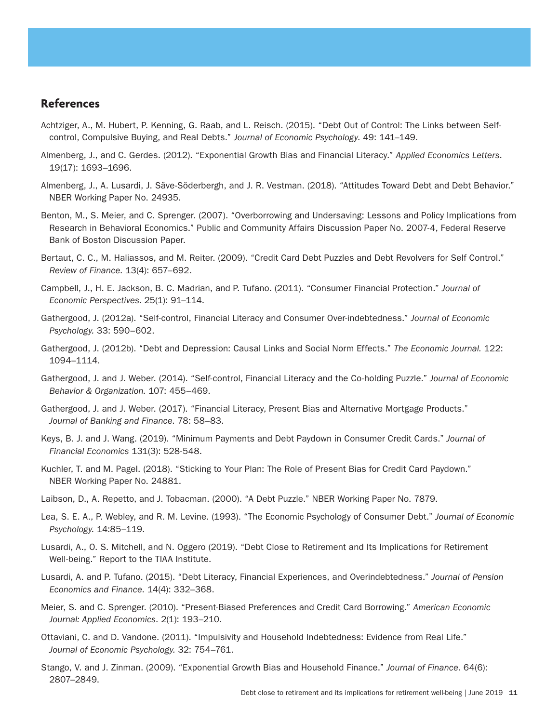## **References**

- Achtziger, A., M. Hubert, P. Kenning, G. Raab, and L. Reisch. (2015). "Debt Out of Control: The Links between Selfcontrol, Compulsive Buying, and Real Debts." *Journal of Economic Psychology*. 49: 141–149.
- Almenberg, J., and C. Gerdes. (2012). "Exponential Growth Bias and Financial Literacy." *Applied Economics Letters*. 19(17): 1693–1696.
- Almenberg, J., A. Lusardi, J. Säve-Söderbergh, and J. R. Vestman. (2018). "Attitudes Toward Debt and Debt Behavior." NBER Working Paper No. 24935.
- Benton, M., S. Meier, and C. Sprenger. (2007). "Overborrowing and Undersaving: Lessons and Policy Implications from Research in Behavioral Economics." Public and Community Affairs Discussion Paper No. 2007-4, Federal Reserve Bank of Boston Discussion Paper.
- Bertaut, C. C., M. Haliassos, and M. Reiter. (2009). "Credit Card Debt Puzzles and Debt Revolvers for Self Control." *Review of Finance*. 13(4): 657–692.
- Campbell, J., H. E. Jackson, B. C. Madrian, and P. Tufano. (2011). "Consumer Financial Protection." *Journal of Economic Perspectives.* 25(1): 91–114.
- Gathergood, J. (2012a). "Self-control, Financial Literacy and Consumer Over-indebtedness." *Journal of Economic Psychology.* 33: 590–602.
- Gathergood, J. (2012b). "Debt and Depression: Causal Links and Social Norm Effects." *The Economic Journal.* 122: 1094–1114.
- Gathergood, J. and J. Weber. (2014). "Self-control, Financial Literacy and the Co-holding Puzzle." *Journal of Economic Behavior & Organization.* 107: 455–469.
- Gathergood, J. and J. Weber. (2017). "Financial Literacy, Present Bias and Alternative Mortgage Products." *Journal of Banking and Finance*. 78: 58–83.
- Keys, B. J. and J. Wang. (2019). "Minimum Payments and Debt Paydown in Consumer Credit Cards." *Journal of Financial Economics* 131(3): 528-548.
- Kuchler, T. and M. Pagel. (2018). "Sticking to Your Plan: The Role of Present Bias for Credit Card Paydown." NBER Working Paper No. 24881.
- Laibson, D., A. Repetto, and J. Tobacman. (2000). "A Debt Puzzle." NBER Working Paper No. 7879.
- Lea, S. E. A., P. Webley, and R. M. Levine. (1993). "The Economic Psychology of Consumer Debt." *Journal of Economic Psychology.* 14:85–119.
- Lusardi, A., O. S. Mitchell, and N. Oggero (2019). "Debt Close to Retirement and Its Implications for Retirement Well-being." Report to the TIAA Institute.
- Lusardi, A. and P. Tufano. (2015). "Debt Literacy, Financial Experiences, and Overindebtedness." *Journal of Pension Economics and Finance*. 14(4): 332–368.
- Meier, S. and C. Sprenger. (2010). "Present-Biased Preferences and Credit Card Borrowing." *American Economic Journal: Applied Economics*. 2(1): 193–210.
- Ottaviani, C. and D. Vandone. (2011). "Impulsivity and Household Indebtedness: Evidence from Real Life." *Journal of Economic Psychology.* 32: 754–761.
- Stango, V. and J. Zinman. (2009). "Exponential Growth Bias and Household Finance." *Journal of Finance*. 64(6): 2807–2849.